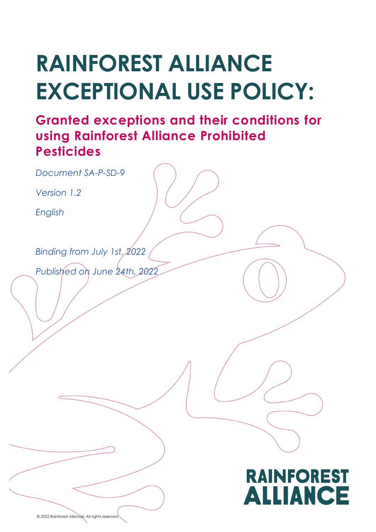# **RAINFOREST ALLIANCE EXCEPTIONAL USE POLICY:**

# **Granted exceptions and their conditions for using Rainforest Alliance Prohibited Pesticides**

*Document SA-P-SD-9*

*Version 1.2*

*English*

*Binding from July 1st, 2022*

*Published on June 24th, 2022*

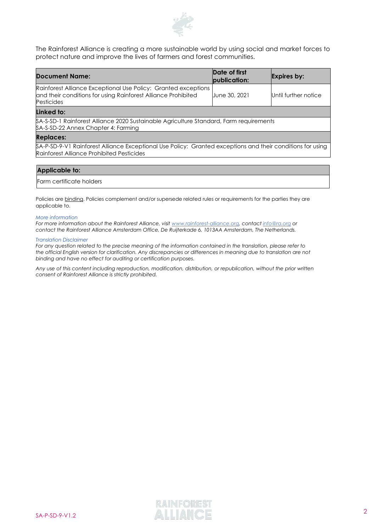

The Rainforest Alliance is creating a more sustainable world by using social and market forces to protect nature and improve the lives of farmers and forest communities.

| <b>Document Name:</b>                                                                                                                                | Date of first<br>publication: | Expires by:          |  |  |  |  |  |  |  |
|------------------------------------------------------------------------------------------------------------------------------------------------------|-------------------------------|----------------------|--|--|--|--|--|--|--|
| Rainforest Alliance Exceptional Use Policy: Granted exceptions<br>and their conditions for using Rainforest Alliance Prohibited<br><b>Pesticides</b> | June 30, 2021                 | Until further notice |  |  |  |  |  |  |  |
| Linked to:                                                                                                                                           |                               |                      |  |  |  |  |  |  |  |
| \$A-S-SD-1 Rainforest Alliance 2020 Sustainable Agriculture Standard, Farm requirements<br>SA-S-SD-22 Annex Chapter 4: Farming                       |                               |                      |  |  |  |  |  |  |  |
| <b>Replaces:</b>                                                                                                                                     |                               |                      |  |  |  |  |  |  |  |
| $\cdots$<br>$\overline{a}$<br>$\sim$ $\sim$<br>$\sim$ $\sim$ $\sim$ $\sim$                                                                           | $\cdots$<br>.                 | $\cdots$             |  |  |  |  |  |  |  |

SA-P-SD-9-V1 Rainforest Alliance Exceptional Use Policy: Granted exceptions and their conditions for using Rainforest Alliance Prohibited Pesticides

#### **Applicable to:**

#### Farm certificate holders

Policies are binding. Policies complement and/or supersede related rules or requirements for the parties they are applicable to.

#### *More information*

*For more information about the Rainforest Alliance, visit [www.rainforest-alliance.org,](http://www.rainforest-alliance.org/) contact [info@ra.org](mailto:info@ra.org) or contact the Rainforest Alliance Amsterdam Office, De Ruijterkade 6, 1013AA Amsterdam, The Netherlands.*

#### *Translation Disclaimer*

*For any question related to the precise meaning of the information contained in the translation, please refer to the official English version for clarification. Any discrepancies or differences in meaning due to translation are not binding and have no effect for auditing or certification purposes.*

*Any use of this content including reproduction, modification, distribution, or republication, without the prior written consent of Rainforest Alliance is strictly prohibited.*

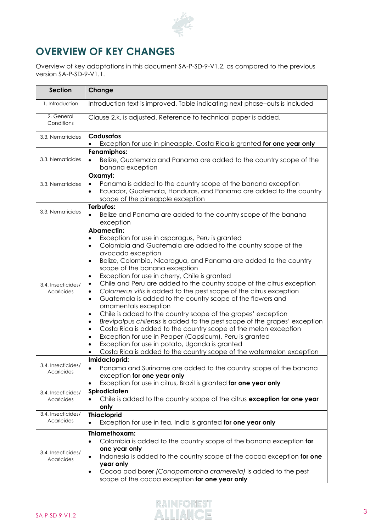

# **OVERVIEW OF KEY CHANGES**

Overview of key adaptations in this document SA-P-SD-9-V1.2, as compared to the previous version SA-P-SD-9-V1.1.

| <b>Section</b>                          | Change                                                                                                                                                                                                                                                                                                                                                                                                                                                                                                                                                                                                                                                                                                                                                                                                                                                                                                                                                                                                                                                                                       |  |  |  |  |  |  |  |
|-----------------------------------------|----------------------------------------------------------------------------------------------------------------------------------------------------------------------------------------------------------------------------------------------------------------------------------------------------------------------------------------------------------------------------------------------------------------------------------------------------------------------------------------------------------------------------------------------------------------------------------------------------------------------------------------------------------------------------------------------------------------------------------------------------------------------------------------------------------------------------------------------------------------------------------------------------------------------------------------------------------------------------------------------------------------------------------------------------------------------------------------------|--|--|--|--|--|--|--|
| 1. Introduction                         | Introduction text is improved. Table indicating next phase-outs is included                                                                                                                                                                                                                                                                                                                                                                                                                                                                                                                                                                                                                                                                                                                                                                                                                                                                                                                                                                                                                  |  |  |  |  |  |  |  |
| 2. General<br>Conditions                | Clause 2.k. is adjusted. Reference to technical paper is added.                                                                                                                                                                                                                                                                                                                                                                                                                                                                                                                                                                                                                                                                                                                                                                                                                                                                                                                                                                                                                              |  |  |  |  |  |  |  |
| 3.3. Nematicides                        | <b>Cadusafos</b><br>Exception for use in pineapple, Costa Rica is granted for one year only                                                                                                                                                                                                                                                                                                                                                                                                                                                                                                                                                                                                                                                                                                                                                                                                                                                                                                                                                                                                  |  |  |  |  |  |  |  |
| 3.3. Nematicides                        | Fenamiphos:<br>Belize, Guatemala and Panama are added to the country scope of the<br>$\bullet$<br>banana exception                                                                                                                                                                                                                                                                                                                                                                                                                                                                                                                                                                                                                                                                                                                                                                                                                                                                                                                                                                           |  |  |  |  |  |  |  |
| 3.3. Nematicides                        | Oxamyl:<br>Panama is added to the country scope of the banana exception<br>$\bullet$<br>Ecuador, Guatemala, Honduras, and Panama are added to the country<br>$\bullet$<br>scope of the pineapple exception                                                                                                                                                                                                                                                                                                                                                                                                                                                                                                                                                                                                                                                                                                                                                                                                                                                                                   |  |  |  |  |  |  |  |
| 3.3. Nematicides                        | Terbufos:<br>Belize and Panama are added to the country scope of the banana<br>$\bullet$<br>exception                                                                                                                                                                                                                                                                                                                                                                                                                                                                                                                                                                                                                                                                                                                                                                                                                                                                                                                                                                                        |  |  |  |  |  |  |  |
| 3.4. Insecticides/<br>Acaricides        | <b>Abamectin:</b><br>Exception for use in asparagus, Peru is granted<br>Colombia and Guatemala are added to the country scope of the<br>$\bullet$<br>avocado exception<br>Belize, Colombia, Nicaragua, and Panama are added to the country<br>$\bullet$<br>scope of the banana exception<br>Exception for use in cherry, Chile is granted<br>$\bullet$<br>Chile and Peru are added to the country scope of the citrus exception<br>$\bullet$<br>Colomerus vitis is added to the pest scope of the citrus exception<br>$\bullet$<br>Guatemala is added to the country scope of the flowers and<br>$\bullet$<br>ornamentals exception<br>Chile is added to the country scope of the grapes' exception<br>$\bullet$<br>Brevipalpus chilensis is added to the pest scope of the grapes' exception<br>$\bullet$<br>Costa Rica is added to the country scope of the melon exception<br>$\bullet$<br>Exception for use in Pepper (Capsicum), Peru is granted<br>$\bullet$<br>Exception for use in potato, Uganda is granted<br>Costa Rica is added to the country scope of the watermelon exception |  |  |  |  |  |  |  |
| 3.4. Insecticides/<br>Acaricides        | Imidacloprid:<br>Panama and Suriname are added to the country scope of the banana<br>exception for one year only<br>Exception for use in citrus, Brazil is granted for one year only                                                                                                                                                                                                                                                                                                                                                                                                                                                                                                                                                                                                                                                                                                                                                                                                                                                                                                         |  |  |  |  |  |  |  |
| 3.4. Insecticides/<br>Acaricides        | Spirodiclofen<br>Chile is added to the country scope of the citrus exception for one year<br>only                                                                                                                                                                                                                                                                                                                                                                                                                                                                                                                                                                                                                                                                                                                                                                                                                                                                                                                                                                                            |  |  |  |  |  |  |  |
| 3.4. Insecticides/<br>Acaricides        | <b>Thiacloprid</b><br>Exception for use in tea, India is granted for one year only<br>$\bullet$                                                                                                                                                                                                                                                                                                                                                                                                                                                                                                                                                                                                                                                                                                                                                                                                                                                                                                                                                                                              |  |  |  |  |  |  |  |
| 3.4. Insecticides/<br><b>Acaricides</b> | Thiamethoxam:<br>Colombia is added to the country scope of the banana exception for<br>$\bullet$<br>one year only<br>Indonesia is added to the country scope of the cocoa exception for one<br>$\bullet$<br>year only<br>Cocoa pod borer (Conopomorpha cramerella) is added to the pest<br>$\bullet$<br>scope of the cocoa exception for one year only                                                                                                                                                                                                                                                                                                                                                                                                                                                                                                                                                                                                                                                                                                                                       |  |  |  |  |  |  |  |

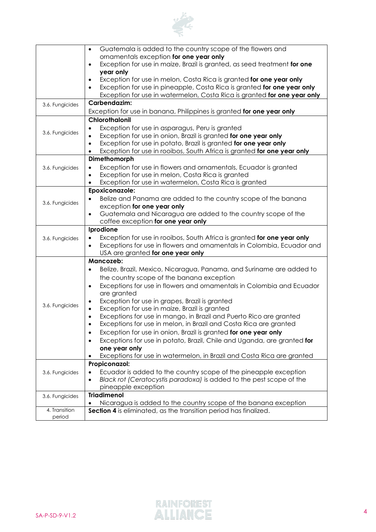

|                 | Guatemala is added to the country scope of the flowers and<br>$\bullet$                                                                           |
|-----------------|---------------------------------------------------------------------------------------------------------------------------------------------------|
|                 | ornamentals exception for one year only                                                                                                           |
|                 | Exception for use in maize, Brazil is granted, as seed treatment for one<br>$\bullet$<br>year only                                                |
|                 | Exception for use in melon, Costa Rica is granted for one year only<br>$\bullet$                                                                  |
|                 | Exception for use in pineapple, Costa Rica is granted for one year only<br>$\bullet$                                                              |
|                 | Exception for use in watermelon, Costa Rica is granted for one year only                                                                          |
| 3.6. Fungicides | Carbendazim:                                                                                                                                      |
|                 | Exception for use in banana, Philippines is granted for one year only                                                                             |
|                 | Chlorothalonil                                                                                                                                    |
|                 | Exception for use in asparagus, Peru is granted<br>٠                                                                                              |
| 3.6. Fungicides | Exception for use in onion, Brazil is granted for one year only<br>$\bullet$                                                                      |
|                 | Exception for use in potato, Brazil is granted for one year only<br>$\bullet$                                                                     |
|                 | Exception for use in rooibos, South Africa is granted for one year only                                                                           |
|                 | Dimethomorph                                                                                                                                      |
| 3.6. Fungicides | Exception for use in flowers and ornamentals, Ecuador is granted<br>$\bullet$                                                                     |
|                 | Exception for use in melon, Costa Rica is granted<br>$\bullet$                                                                                    |
|                 | Exception for use in watermelon, Costa Rica is granted<br>$\bullet$                                                                               |
|                 | Epoxiconazole:                                                                                                                                    |
| 3.6. Fungicides | Belize and Panama are added to the country scope of the banana                                                                                    |
|                 | exception for one year only                                                                                                                       |
|                 | Guatemala and Nicaragua are added to the country scope of the<br>$\bullet$                                                                        |
|                 | coffee exception for one year only                                                                                                                |
|                 | Iprodione                                                                                                                                         |
| 3.6. Fungicides | Exception for use in rooibos, South Africa is granted for one year only<br>Exceptions for use in flowers and ornamentals in Colombia, Ecuador and |
|                 | USA are granted for one year only                                                                                                                 |
|                 | Mancozeb:                                                                                                                                         |
|                 | Belize, Brazil, Mexico, Nicaragua, Panama, and Suriname are added to<br>$\bullet$                                                                 |
|                 | the country scope of the banana exception                                                                                                         |
|                 | Exceptions for use in flowers and ornamentals in Colombia and Ecuador<br>$\bullet$                                                                |
|                 | are granted                                                                                                                                       |
|                 | Exception for use in grapes, Brazil is granted                                                                                                    |
| 3.6. Fungicides | Exception for use in maize, Brazil is granted<br>$\bullet$                                                                                        |
|                 | Exceptions for use in mango, in Brazil and Puerto Rico are granted<br>$\bullet$                                                                   |
|                 | Exceptions for use in melon, in Brazil and Costa Rica are granted                                                                                 |
|                 | Exception for use in onion, Brazil is granted for one year only                                                                                   |
|                 | Exceptions for use in potato, Brazil, Chile and Uganda, are granted for                                                                           |
|                 | one year only                                                                                                                                     |
|                 | Exceptions for use in watermelon, in Brazil and Costa Rica are granted                                                                            |
|                 | Propiconazol:                                                                                                                                     |
| 3.6. Fungicides | Ecuador is added to the country scope of the pineapple exception                                                                                  |
|                 | Black rot (Ceratocystis paradoxa) is added to the pest scope of the<br>$\bullet$                                                                  |
|                 | pineapple exception<br><b>Triadimenol</b>                                                                                                         |
| 3.6. Fungicides | Nicaragua is added to the country scope of the banana exception                                                                                   |
| 4. Transition   | Section 4 is eliminated, as the transition period has finalized.                                                                                  |
| period          |                                                                                                                                                   |

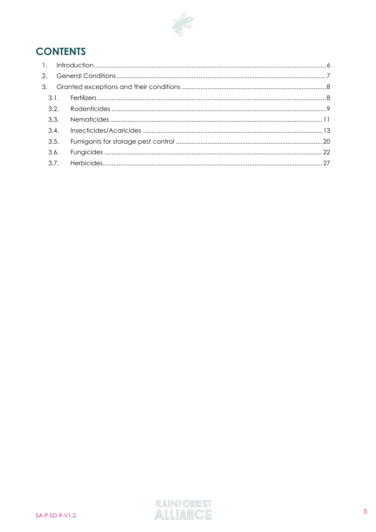

# **CONTENTS**

| 3.2. |  |  |  |  |  |  |  |  |
|------|--|--|--|--|--|--|--|--|
| 3.3. |  |  |  |  |  |  |  |  |
| 3.4. |  |  |  |  |  |  |  |  |
| 3.5. |  |  |  |  |  |  |  |  |
| 3.6. |  |  |  |  |  |  |  |  |
| 3.7. |  |  |  |  |  |  |  |  |
|      |  |  |  |  |  |  |  |  |

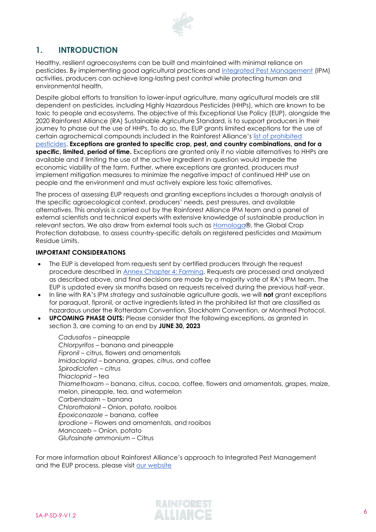

# <span id="page-5-0"></span>**1. INTRODUCTION**

Healthy, resilient agroecosystems can be built and maintained with minimal reliance on pesticides. By implementing good agricultural practices and [Integrated Pest Management](https://www.rainforest-alliance.org/resource-item/integrated-pest-management-and-natural-farming-solutions-white-paper/) (IPM) activities, producers can achieve long-lasting pest control while protecting human and environmental health.

Despite global efforts to transition to lower-input agriculture, many agricultural models are still dependent on pesticides, including Highly Hazardous Pesticides (HHPs), which are known to be toxic to people and ecosystems. The objective of this Exceptional Use Policy (EUP), alongside the 2020 Rainforest Alliance (RA) Sustainable Agriculture Standard, is to support producers in their journey to phase out the use of HHPs. To do so, the EUP grants limited exceptions for the use of certain agrochemical compounds included in the Rainforest Alliance's [list of prohibited](https://www.rainforest-alliance.org/resource-item/annex-s7-pesticides-management/)  [pesticides.](https://www.rainforest-alliance.org/resource-item/annex-s7-pesticides-management/) **Exceptions are granted to specific crop, pest, and country combinations, and for a specific, limited, period of time.** Exceptions are granted only if no viable alternatives to HHPs are available and if limiting the use of the active ingredient in question would impede the economic viability of the farm. Further, where exceptions are granted, producers must implement mitigation measures to minimize the negative impact of continued HHP use on people and the environment and must actively explore less toxic alternatives.

The process of assessing EUP requests and granting exceptions includes a thorough analysis of the specific agroecological context, producers' needs, pest pressures, and available alternatives. This analysis is carried out by the Rainforest Alliance IPM team and a panel of external scientists and technical experts with extensive knowledge of sustainable production in relevant sectors. We also draw from external tools such as [Homologa®](https://homologa.com/), the Global Crop Protection database, to assess country-specific details on registered pesticides and Maximum Residue Limits.

#### **IMPORTANT CONSIDERATIONS**

- The EUP is developed from requests sent by certified producers through the request procedure described in Annex [Chapter 4: Farming.](https://www.rainforest-alliance.org/resource-item/annex-s7-pesticides-management/) Requests are processed and analyzed as described above, and final decisions are made by a majority vote of RA's IPM team. The EUP is updated every six months based on requests received during the previous half-year.
- In line with RA's IPM strategy and sustainable agriculture goals, we will **not** grant exceptions for paraquat, fipronil, or active ingredients listed in the prohibited list that are classified as hazardous under the Rotterdam Convention, Stockholm Convention, or Montreal Protocol.
- **UPCOMING PHASE OUTS:** Please consider that the following exceptions, as granted in section 3, are coming to an end by **JUNE 30, 2023**

*Cadusafos* – pineapple *Chlorpyrifos* – banana and pineapple *Fipronil* – citrus, flowers and ornamentals *Imidacloprid* – banana, grapes, citrus, and coffee *Spirodiclofen* – citrus *Thiacloprid* – tea *Thiamethoxam* – banana, citrus, cocoa, coffee, flowers and ornamentals, grapes, maize, melon, pineapple, tea, and watermelon *Carbendazim* – banana *Chlorothalonil* – Onion, potato, rooibos *Epoxiconazole* – banana, coffee *Iprodione* – Flowers and ornamentals, and rooibos *Mancozeb* – Onion, potato *Glufosinate ammonium* – Citrus

For more information about Rainforest Alliance's approach to Integrated Pest Management and the EUP process, please visit [our website](https://www.rainforest-alliance.org/business/sustainable-farming/our-integrated-pest-management-pesticide-approach/)

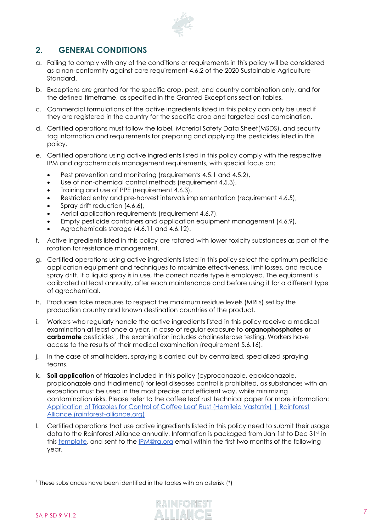

# <span id="page-6-0"></span>**2. GENERAL CONDITIONS**

- a. Failing to comply with any of the conditions or requirements in this policy will be considered as a non-conformity against core requirement 4.6.2 of the 2020 Sustainable Agriculture Standard.
- b. Exceptions are granted for the specific crop, pest, and country combination only, and for the defined timeframe, as specified in the Granted Exceptions section tables.
- c. Commercial formulations of the active ingredients listed in this policy can only be used if they are registered in the country for the specific crop and targeted pest combination.
- d. Certified operations must follow the label, Material Safety Data Sheet(MSDS), and security tag information and requirements for preparing and applying the pesticides listed in this policy.
- e. Certified operations using active ingredients listed in this policy comply with the respective IPM and agrochemicals management requirements, with special focus on:
	- Pest prevention and monitoring (requirements 4.5.1 and 4.5.2),
	- Use of non-chemical control methods (requirement 4.5.3),
	- Training and use of PPE (requirement 4.6.3),
	- Restricted entry and pre-harvest intervals implementation (requirement 4.6.5),
	- Spray drift reduction (4.6.6),
	- Aerial application requirements (requirement 4.6.7),
	- Empty pesticide containers and application equipment management (4.6.9),
	- Agrochemicals storage (4.6.11 and 4.6.12).
- f. Active ingredients listed in this policy are rotated with lower toxicity substances as part of the rotation for resistance management.
- g. Certified operations using active ingredients listed in this policy select the optimum pesticide application equipment and techniques to maximize effectiveness, limit losses, and reduce spray drift. If a liquid spray is in use, the correct nozzle type is employed. The equipment is calibrated at least annually, after each maintenance and before using it for a different type of agrochemical.
- h. Producers take measures to respect the maximum residue levels (MRLs) set by the production country and known destination countries of the product.
- i. Workers who regularly handle the active ingredients listed in this policy receive a medical examination at least once a year. In case of regular exposure to **organophosphates or carbamate** pesticides<sup>1</sup>, the examination includes cholinesterase testing. Workers have access to the results of their medical examination (requirement 5.6.16).
- j. In the case of smallholders, spraying is carried out by centralized, specialized spraying teams.
- k. **Soil application** of triazoles included in this policy (cyproconazole, epoxiconazole, propiconazole and triadimenol) for leaf diseases control is prohibited, as substances with an exception must be used in the most precise and efficient way, while minimizing contamination risks. Please refer to the coffee leaf rust technical paper for more information: [Application of Triazoles for Control of Coffee Leaf Rust \(Hemileia Vastatrix\) | Rainforest](https://www.rainforest-alliance.org/resource-item/application-of-triazoles-for-control-of-coffee-leaf-rust-hemileia-vastatrix/)  [Alliance \(rainforest-alliance.org\)](https://www.rainforest-alliance.org/resource-item/application-of-triazoles-for-control-of-coffee-leaf-rust-hemileia-vastatrix/)
- l. Certified operations that use active ingredients listed in this policy need to submit their usage data to the Rainforest Alliance annually. Information is packaged from Jan 1st to Dec 31st in this [template,](https://www.rainforest-alliance.org/business/resource-item/template-for-reporting-data-usage/) and sent to the [IPM@ra.org](mailto:IPM@ra.org) email within the first two months of the following year.

<sup>&</sup>lt;sup>1</sup> These substances have been identified in the tables with an asterisk  $(*)$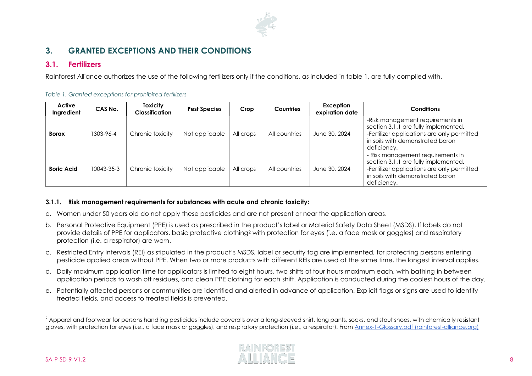

# **3. GRANTED EXCEPTIONS AND THEIR CONDITIONS**

## **3.1. Fertilizers**

Rainforest Alliance authorizes the use of the following fertilizers only if the conditions, as included in table 1, are fully complied with.

|  | Table 1. Granted exceptions for prohibited fertilizers |  |  |
|--|--------------------------------------------------------|--|--|
|  |                                                        |  |  |

| Active<br>Ingredient | CAS No.    | <b>Toxicity</b><br><b>Classification</b> | <b>Pest Species</b> | Crop      | <b>Countries</b> | Exception<br>expiration date | <b>Conditions</b>                                                                                                                                                           |
|----------------------|------------|------------------------------------------|---------------------|-----------|------------------|------------------------------|-----------------------------------------------------------------------------------------------------------------------------------------------------------------------------|
| <b>Borax</b>         | 1303-96-4  | Chronic toxicity                         | Not applicable      | All crops | All countries    | June 30, 2024                | -Risk management requirements in<br>section 3.1.1 are fully implemented.<br>-Fertilizer applications are only permitted<br>in soils with demonstrated boron<br>deficiency.  |
| <b>Boric Acid</b>    | 10043-35-3 | Chronic toxicity                         | Not applicable      | All crops | All countries    | June 30, 2024                | - Risk management requirements in<br>section 3.1.1 are fully implemented.<br>-Fertilizer applications are only permitted<br>in soils with demonstrated boron<br>deficiency. |

#### <span id="page-7-0"></span>**3.1.1. Risk management requirements for substances with acute and chronic toxicity:**

- <span id="page-7-1"></span>a. Women under 50 years old do not apply these pesticides and are not present or near the application areas.
- b. Personal Protective Equipment (PPE) is used as prescribed in the product's label or Material Safety Data Sheet (MSDS). If labels do not provide details of PPE for applicators, basic protective clothing<sup>2</sup> with protection for eyes (i.e. a face mask or goggles) and respiratory protection (i.e. a respirator) are worn.
- c. Restricted Entry Intervals (REI) as stipulated in the product's MSDS, label or security tag are implemented, for protecting persons entering pesticide applied areas without PPE. When two or more products with different REIs are used at the same time, the longest interval applies.
- d. Daily maximum application time for applicators is limited to eight hours, two shifts of four hours maximum each, with bathing in between application periods to wash off residues, and clean PPE clothing for each shift. Application is conducted during the coolest hours of the day.
- e. Potentially affected persons or communities are identified and alerted in advance of application. Explicit flags or signs are used to identify treated fields, and access to treated fields is prevented.

<sup>&</sup>lt;sup>2</sup> Apparel and footwear for persons handling pesticides include coveralls over a long-sleeved shirt, long pants, socks, and stout shoes, with chemically resistant gloves, with protection for eyes (i.e., a face mask or goggles), and respiratory protection (i.e., a respirator). From [Annex-1-Glossary.pdf \(rainforest-alliance.org\)](https://www.rainforest-alliance.org/business/wp-content/uploads/2020/06/Annex-1-Glossary.pdf)

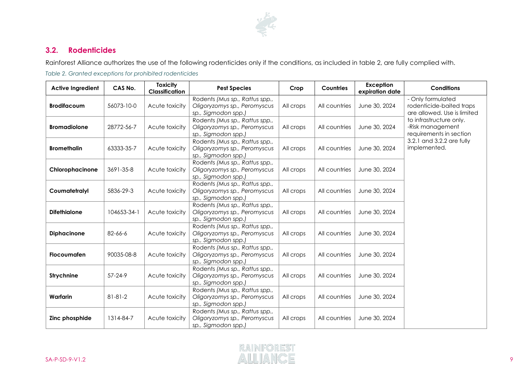

# **3.2. Rodenticides**

Rainforest Alliance authorizes the use of the following rodenticides only if the conditions, as included in table 2, are fully complied with.

*Table 2. Granted exceptions for prohibited rodenticides*

<span id="page-8-0"></span>

| <b>Active Ingredient</b> | CAS No.                      | <b>Toxicity</b><br>Classification | <b>Pest Species</b>                                                                   | Crop<br><b>Countries</b> |               | Exception<br>expiration date | <b>Conditions</b>                                                            |
|--------------------------|------------------------------|-----------------------------------|---------------------------------------------------------------------------------------|--------------------------|---------------|------------------------------|------------------------------------------------------------------------------|
| <b>Brodifacoum</b>       | 56073-10-0<br>Acute toxicity |                                   | Rodents (Mus sp., Rattus spp.,<br>Oligoryzomys sp., Peromyscus<br>sp., Sigmodon spp.) | All crops                | All countries | June 30, 2024                | - Only formulated<br>rodenticide-baited traps<br>are allowed. Use is limited |
| <b>Bromadiolone</b>      | 28772-56-7                   | Acute toxicity                    | Rodents (Mus sp., Rattus spp.,<br>Oligoryzomys sp., Peromyscus<br>sp., Sigmodon spp.) | All crops                | All countries | June 30, 2024                | to infrastructure only.<br>-Risk management<br>requirements in section       |
| <b>Bromethalin</b>       | 63333-35-7                   | Acute toxicity                    | Rodents (Mus sp., Rattus spp.,<br>Oligoryzomys sp., Peromyscus<br>sp., Sigmodon spp.) | All crops                | All countries | June 30, 2024                | 3.2.1 and 3.2.2 are fully<br>implemented.                                    |
| Chlorophacinone          | 3691-35-8                    | Acute toxicity                    | Rodents (Mus sp., Rattus spp.,<br>Oligoryzomys sp., Peromyscus<br>sp., Sigmodon spp.) | All crops                | All countries | June 30, 2024                |                                                                              |
| Coumatetralyl            | 5836-29-3                    | Acute toxicity                    | Rodents (Mus sp., Rattus spp.,<br>Oligoryzomys sp., Peromyscus<br>sp., Sigmodon spp.) | All crops                | All countries | June 30, 2024                |                                                                              |
| <b>Difethialone</b>      | 104653-34-1                  | Acute toxicity                    | Rodents (Mus sp., Rattus spp.,<br>Oligoryzomys sp., Peromyscus<br>sp., Sigmodon spp.) | All crops                | All countries | June 30, 2024                |                                                                              |
| <b>Diphacinone</b>       | 82-66-6                      | Acute toxicity                    | Rodents (Mus sp., Rattus spp.,<br>Oligoryzomys sp., Peromyscus<br>sp., Sigmodon spp.) | All crops                | All countries | June 30, 2024                |                                                                              |
| <b>Flocoumafen</b>       | 90035-08-8                   | Acute toxicity                    | Rodents (Mus sp., Rattus spp.,<br>Oligoryzomys sp., Peromyscus<br>sp., Sigmodon spp.) | All crops                | All countries | June 30, 2024                |                                                                              |
| <b>Strychnine</b>        | $57 - 24 - 9$                | Acute toxicity                    | Rodents (Mus sp., Rattus spp.,<br>Oligoryzomys sp., Peromyscus<br>sp., Sigmodon spp.) | All crops                | All countries | June 30, 2024                |                                                                              |
| Warfarin                 | $81 - 81 - 2$                | Acute toxicity                    | Rodents (Mus sp., Rattus spp.,<br>Oligoryzomys sp., Peromyscus<br>sp., Sigmodon spp.) | All crops                | All countries | June 30, 2024                |                                                                              |
| Zinc phosphide           | 1314-84-7                    | Acute toxicity                    | Rodents (Mus sp., Rattus spp.,<br>Oligoryzomys sp., Peromyscus<br>sp., Sigmodon spp.) | All crops                | All countries | June 30, 2024                |                                                                              |

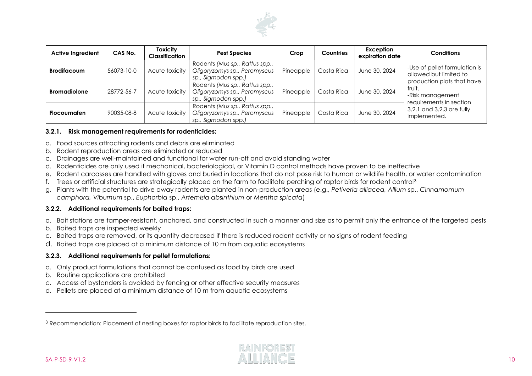

| <b>Active Ingredient</b> | CAS No.    | <b>Toxicity</b><br><b>Classification</b> | <b>Pest Species</b>                                                                                              | Crop      | <b>Countries</b> | Exception<br>expiration date                                                          | <b>Conditions</b>                                     |
|--------------------------|------------|------------------------------------------|------------------------------------------------------------------------------------------------------------------|-----------|------------------|---------------------------------------------------------------------------------------|-------------------------------------------------------|
| <b>Brodifacoum</b>       | 56073-10-0 | Acute toxicity                           | Rodents (Mus sp., Rattus spp.,<br>Oligoryzomys sp., Peromyscus<br>Costa Rica<br>Pineapple<br>sp., Sigmodon spp.) |           | June 30, 2024    | -Use of pellet formulation is<br>allowed but limited to<br>production plots that have |                                                       |
| <b>Bromadiolone</b>      | 28772-56-7 | Acute toxicity                           | Rodents (Mus sp., Rattus spp.,<br>Oligoryzomys sp., Peromyscus<br>sp., Sigmodon spp.)                            | Pineapple | Costa Rica       | June 30, 2024                                                                         | fruit.<br>-Risk management<br>requirements in section |
| <b>Flocoumaten</b>       | 90035-08-8 | Acute toxicity                           | Rodents (Mus sp., Rattus spp.,<br>Oligoryzomys sp., Peromyscus<br>sp., Sigmodon spp.)                            | Pineapple | Costa Rica       | June 30, 2024                                                                         | 3.2.1 and 3.2.3 are fully<br>implemented.             |

#### **3.2.1. Risk management requirements for rodenticides:**

- a. Food sources attracting rodents and debris are eliminated
- b. Rodent reproduction areas are eliminated or reduced
- c. Drainages are well-maintained and functional for water run-off and avoid standing water
- d. Rodenticides are only used if mechanical, bacteriological, or Vitamin D control methods have proven to be ineffective
- e. Rodent carcasses are handled with gloves and buried in locations that do not pose risk to human or wildlife health, or water contamination
- f. Trees or artificial structures are strategically placed on the farm to facilitate perching of raptor birds for rodent control<sup>3</sup>
- g. Plants with the potential to drive away rodents are planted in non-production areas (e.g., *Petiveria alliacea, Allium* sp., *Cinnamomum camphora, Viburnum* sp., *Euphorbia* sp., *Artemisia absinthium* or *Mentha spicata*)

#### **3.2.2. Additional requirements for baited traps:**

- a. Bait stations are tamper-resistant, anchored, and constructed in such a manner and size as to permit only the entrance of the targeted pests
- b. Baited traps are inspected weekly
- c. Baited traps are removed, or its quantity decreased if there is reduced rodent activity or no signs of rodent feeding
- d. Baited traps are placed at a minimum distance of 10 m from aquatic ecosystems

#### **3.2.3. Additional requirements for pellet formulations:**

- a. Only product formulations that cannot be confused as food by birds are used
- b. Routine applications are prohibited
- c. Access of bystanders is avoided by fencing or other effective security measures
- d. Pellets are placed at a minimum distance of 10 m from aquatic ecosystems

<sup>3</sup> Recommendation: Placement of nesting boxes for raptor birds to facilitate reproduction sites.

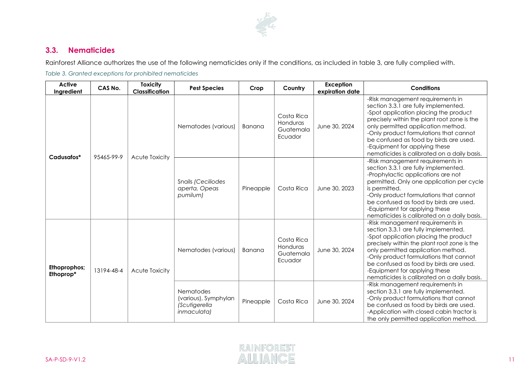

# **3.3. Nematicides**

Rainforest Alliance authorizes the use of the following nematicides only if the conditions, as included in table 3, are fully complied with.

*Table 3. Granted exceptions for prohibited nematicides*

<span id="page-10-0"></span>

| Active<br>Ingredient      | CAS No.    | <b>Toxicity</b><br><b>Classification</b> | <b>Pest Species</b>                             | Crop      | Country                                                                  | <b>Exception</b><br>expiration date | <b>Conditions</b>                                                                                                                                                                                                                                                                                                                                                          |
|---------------------------|------------|------------------------------------------|-------------------------------------------------|-----------|--------------------------------------------------------------------------|-------------------------------------|----------------------------------------------------------------------------------------------------------------------------------------------------------------------------------------------------------------------------------------------------------------------------------------------------------------------------------------------------------------------------|
| Cadusafos*                |            |                                          | Nematodes (various)                             | Banana    | Costa Rica<br>Honduras<br>Guatemala<br>Ecuador                           | June 30, 2024                       | -Risk management requirements in<br>section 3.3.1 are fully implemented.<br>-Spot application placing the product<br>precisely within the plant root zone is the<br>only permitted application method.<br>-Only product formulations that cannot<br>be confused as food by birds are used.<br>-Equipment for applying these<br>nematicides is calibrated on a daily basis. |
|                           | 95465-99-9 | Acute Toxicity                           | Snails (Ceciliodes<br>aperta, Opeas<br>pumilum) | Pineapple | Costa Rica                                                               | June 30, 2023                       | -Risk management requirements in<br>section 3.3.1 are fully implemented.<br>-Prophylactic applications are not<br>permitted. Only one application per cycle<br>is permitted.<br>-Only product formulations that cannot<br>be confused as food by birds are used.<br>-Equipment for applying these<br>nematicides is calibrated on a daily basis.                           |
| Ethoprophos;<br>Ethoprop* | 13194-48-4 | Acute Toxicity                           | Nematodes (various)                             | Banana    | Costa Rica<br>Honduras<br>Guatemala<br>Ecuador                           | June 30, 2024                       | -Risk management requirements in<br>section 3.3.1 are fully implemented.<br>-Spot application placing the product<br>precisely within the plant root zone is the<br>only permitted application method.<br>-Only product formulations that cannot<br>be confused as food by birds are used.<br>-Equipment for applying these<br>nematicides is calibrated on a daily basis. |
|                           |            |                                          |                                                 |           | <b>Nematodes</b><br>(various), Symphylan<br>(Scutigerella<br>inmaculata) | Pineapple                           | Costa Rica                                                                                                                                                                                                                                                                                                                                                                 |

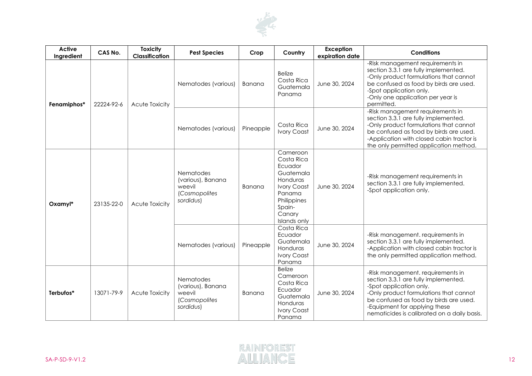

| <b>Active</b><br>Ingredient | CAS No.    | <b>Toxicity</b><br>Classification | <b>Pest Species</b>                                                           | Crop          | Country                                                                                                                                       | <b>Exception</b><br>expiration date | <b>Conditions</b>                                                                                                                                                                                                                                                        |
|-----------------------------|------------|-----------------------------------|-------------------------------------------------------------------------------|---------------|-----------------------------------------------------------------------------------------------------------------------------------------------|-------------------------------------|--------------------------------------------------------------------------------------------------------------------------------------------------------------------------------------------------------------------------------------------------------------------------|
| Fenamiphos*                 | 22224-92-6 | Acute Toxicity                    | Nematodes (various)                                                           | Banana        | <b>Belize</b><br>Costa Rica<br>Guatemala<br>Panama                                                                                            | June 30, 2024                       | -Risk management requirements in<br>section 3.3.1 are fully implemented.<br>-Only product formulations that cannot<br>be confused as food by birds are used.<br>-Spot application only.<br>-Only one application per year is<br>permitted.                               |
|                             |            |                                   | Nematodes (various)                                                           | Pineapple     | Costa Rica<br><b>Ivory Coast</b>                                                                                                              | June 30, 2024                       | -Risk management requirements in<br>section 3.3.1 are fully implemented.<br>-Only product formulations that cannot<br>be confused as food by birds are used.<br>-Application with closed cabin tractor is<br>the only permitted application method.                      |
| Oxamyl*                     | 23135-22-0 | Acute Toxicity                    | Nematodes<br>(various), Banana<br>weevil<br>(Cosmopolites<br>sordidus)        | <b>Banana</b> | Cameroon<br>Costa Rica<br>Ecuador<br>Guatemala<br>Honduras<br><b>Ivory Coast</b><br>Panama<br>Philippines<br>Spain-<br>Canary<br>Islands only | June 30, 2024                       | -Risk management requirements in<br>section 3.3.1 are fully implemented.<br>-Spot application only.                                                                                                                                                                      |
|                             |            |                                   | Nematodes (various)                                                           | Pineapple     | Costa Rica<br>Ecuador<br>Guatemala<br>Honduras<br><b>Ivory Coast</b><br>Panama                                                                | June 30, 2024                       | -Risk management. requirements in<br>section 3.3.1 are fully implemented.<br>-Application with closed cabin tractor is<br>the only permitted application method.                                                                                                         |
| Terbufos*                   | 13071-79-9 | Acute Toxicity                    | <b>Nematodes</b><br>(various), Banana<br>weevil<br>(Cosmopolites<br>sordidus) | Banana        | <b>Belize</b><br>Cameroon<br>Costa Rica<br>Ecuador<br>Guatemala<br>Honduras<br><b>Ivory Coast</b><br>Panama                                   | June 30, 2024                       | -Risk management. requirements in<br>section 3.3.1 are fully implemented.<br>-Spot application only.<br>-Only product formulations that cannot<br>be confused as food by birds are used.<br>-Equipment for applying these<br>nematicides is calibrated on a daily basis. |

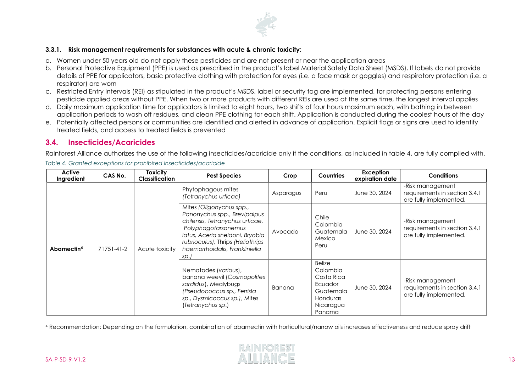

#### **3.3.1. Risk management requirements for substances with acute & chronic toxicity:**

- a. Women under 50 years old do not apply these pesticides and are not present or near the application areas
- b. Personal Protective Equipment (PPE) is used as prescribed in the product's label Material Safety Data Sheet (MSDS). If labels do not provide details of PPE for applicators, basic protective clothing with protection for eyes (i.e. a face mask or goggles) and respiratory protection (i.e. a respirator) are worn
- c. Restricted Entry Intervals (REI) as stipulated in the product's MSDS, label or security tag are implemented, for protecting persons entering pesticide applied areas without PPE. When two or more products with different REIs are used at the same time, the longest interval applies
- d. Daily maximum application time for applicators is limited to eight hours, two shifts of four hours maximum each, with bathing in between application periods to wash off residues, and clean PPE clothing for each shift. Application is conducted during the coolest hours of the day
- e. Potentially affected persons or communities are identified and alerted in advance of application. Explicit flags or signs are used to identify treated fields, and access to treated fields is prevented

## **3.4. Insecticides/Acaricides**

Rainforest Alliance authorizes the use of the following insecticides/acaricide only if the conditions, as included in table 4, are fully complied with.

| Active<br>Ingredient   | CAS No.    | <b>Toxicity</b><br><b>Classification</b> | <b>Pest Species</b>                                                                                                                                                                                                                  | Crop      | <b>Countries</b>                                                                                   | <b>Exception</b><br>expiration date | <b>Conditions</b>                                                           |
|------------------------|------------|------------------------------------------|--------------------------------------------------------------------------------------------------------------------------------------------------------------------------------------------------------------------------------------|-----------|----------------------------------------------------------------------------------------------------|-------------------------------------|-----------------------------------------------------------------------------|
| Abamectin <sup>4</sup> |            |                                          | Phytophagous mites<br>(Tetranychus urticae)                                                                                                                                                                                          | Asparagus | Peru                                                                                               | June 30, 2024                       | -Risk management<br>requirements in section 3.4.1<br>are fully implemented. |
|                        | 71751-41-2 | Acute toxicity                           | Mites (Oligonychus spp.,<br>Panonychus spp., Brevipalpus<br>chilensis, Tetranychus urticae,<br>Polyphagotarsonemus<br>latus, Aceria sheldoni, Bryobia<br>rubrioculus), Thrips (Heliothrips<br>haemorrhoidalis, Frankliniella<br>sp.) | Avocado   | Chile<br>Colombia<br>Guatemala<br>Mexico<br>Peru                                                   | June 30, 2024                       | -Risk management<br>requirements in section 3.4.1<br>are fully implemented. |
|                        |            |                                          | Nematodes (various),<br>banana weevil (Cosmopolites<br>sordidus), Mealybugs<br>(Pseudococcus sp., Ferrisla<br>sp., Dysmicoccus sp.), Mites<br>(Tetranychus sp.)                                                                      | Banana    | <b>Belize</b><br>Colombia<br>Costa Rica<br>Ecuador<br>Guatemala<br>Honduras<br>Nicaragua<br>Panama | June 30, 2024                       | -Risk management<br>requirements in section 3.4.1<br>are fully implemented. |

*Table 4. Granted exceptions for prohibited insecticides/acaricide*

<span id="page-12-0"></span><sup>4</sup> Recommendation: Depending on the formulation, combination of abamectin with horticultural/narrow oils increases effectiveness and reduce spray drift

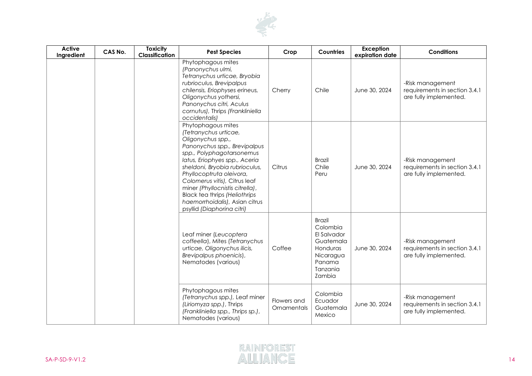

| <b>Active</b><br>Ingredient | CAS No. | <b>Toxicity</b><br>Classification | <b>Pest Species</b>                                                                                                                                                                                                                                                                                                                                                                                      | Crop                              | <b>Countries</b>                                                                                               | <b>Exception</b><br>expiration date | <b>Conditions</b>                                                           |
|-----------------------------|---------|-----------------------------------|----------------------------------------------------------------------------------------------------------------------------------------------------------------------------------------------------------------------------------------------------------------------------------------------------------------------------------------------------------------------------------------------------------|-----------------------------------|----------------------------------------------------------------------------------------------------------------|-------------------------------------|-----------------------------------------------------------------------------|
|                             |         |                                   | Phytophagous mites<br>(Panonychus ulmi,<br>Tetranychus urticae, Bryobia<br>rubrioculus, Brevipalpus<br>chilensis, Eriophyses erineus,<br>Oligonychus yothersi,<br>Panonychus citri, Aculus<br>cornutus), Thrips (Frankliniella<br>occidentalis)                                                                                                                                                          | Cherry                            | Chile                                                                                                          | June 30, 2024                       | -Risk management<br>requirements in section 3.4.1<br>are fully implemented. |
|                             |         |                                   | Phytophagous mites<br>(Tetranychus urticae,<br>Oligonychus spp.,<br>Panonychus spp., Brevipalpus<br>spp., Polyphagotarsonemus<br>latus, Eriophyes spp., Aceria<br>sheldoni, Bryobia rubrioculus,<br>Phyllocoptruta oleivora,<br>Colomerus vitis), Citrus leaf<br>miner (Phyllocnistis citrella),<br><b>Black tea thrips (Heliothrips</b><br>haemorrhoidalis), Asian citrus<br>psyllid (Diaphorina citri) | Citrus                            | <b>Brazil</b><br>Chile<br>Peru                                                                                 | June 30, 2024                       | -Risk management<br>requirements in section 3.4.1<br>are fully implemented. |
|                             |         |                                   | Leaf miner (Leucoptera<br>coffeella), Mites (Tetranychus<br>urticae, Oligonychus ilicis,<br>Brevipalpus phoenicis),<br>Nematodes (various)                                                                                                                                                                                                                                                               | Coffee                            | <b>Brazil</b><br>Colombia<br>El Salvador<br>Guatemala<br>Honduras<br>Nicaragua<br>Panama<br>Tanzania<br>Zambia | June 30, 2024                       | -Risk management<br>requirements in section 3.4.1<br>are fully implemented. |
|                             |         |                                   | Phytophagous mites<br>(Tetranychus spp.), Leaf miner<br>(Liriomyza spp.), Thrips<br>(Frankliniella spp., Thrips sp.),<br>Nematodes (various)                                                                                                                                                                                                                                                             | Flowers and<br><b>Ornamentals</b> | Colombia<br>Ecuador<br>Guatemala<br>Mexico                                                                     | June 30, 2024                       | -Risk management<br>requirements in section 3.4.1<br>are fully implemented. |

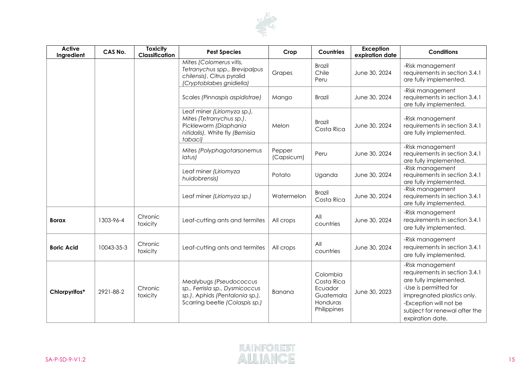

| <b>Active</b><br>Ingredient | CAS No.    | <b>Toxicity</b><br><b>Classification</b> | <b>Pest Species</b>                                                                                                           | Crop                 | Countries                                                                 | <b>Exception</b><br>expiration date | <b>Conditions</b>                                                                                                                                                                                                 |
|-----------------------------|------------|------------------------------------------|-------------------------------------------------------------------------------------------------------------------------------|----------------------|---------------------------------------------------------------------------|-------------------------------------|-------------------------------------------------------------------------------------------------------------------------------------------------------------------------------------------------------------------|
|                             |            |                                          | Mites (Colomerus vitis,<br>Tetranychus spp., Brevipalpus<br>chilensis), Citrus pyralid<br>(Cryptoblabes gnidiella)            | Grapes               | <b>Brazil</b><br>Chile<br>Peru                                            | June 30, 2024                       | -Risk management<br>requirements in section 3.4.1<br>are fully implemented.                                                                                                                                       |
|                             |            |                                          | Scales (Pinnaspis aspidistrae)                                                                                                | Mango                | <b>Brazil</b>                                                             | June 30, 2024                       | -Risk management<br>requirements in section 3.4.1<br>are fully implemented.                                                                                                                                       |
|                             |            |                                          | Leaf miner (Liriomyza sp.),<br>Mites (Tetranychus sp.),<br>Pickleworm (Diaphania<br>nitidalis), White fly (Bemisia<br>tabaci) | Melon                | <b>Brazil</b><br>Costa Rica                                               | June 30, 2024                       | -Risk management<br>requirements in section 3.4.1<br>are fully implemented.                                                                                                                                       |
|                             |            |                                          | Mites (Polyphagotarsonemus<br>latus)                                                                                          | Pepper<br>(Capsicum) | Peru                                                                      | June 30, 2024                       | -Risk management<br>requirements in section 3.4.1<br>are fully implemented.                                                                                                                                       |
|                             |            |                                          | Leaf miner (Liriomyza<br>huidobrensis)                                                                                        | Potato               | Uganda                                                                    | June 30, 2024                       | -Risk management<br>requirements in section 3.4.1<br>are fully implemented.                                                                                                                                       |
|                             |            |                                          | Leaf miner (Liriomyza sp.)                                                                                                    | Watermelon           | <b>Brazil</b><br>Costa Rica                                               | June 30, 2024                       | -Risk management<br>requirements in section 3.4.1<br>are fully implemented.                                                                                                                                       |
| <b>Borax</b>                | 1303-96-4  | Chronic<br>toxicity                      | Leaf-cutting ants and termites                                                                                                | All crops            | All<br>countries                                                          | June 30, 2024                       | -Risk management<br>requirements in section 3.4.1<br>are fully implemented.                                                                                                                                       |
| <b>Boric Acid</b>           | 10043-35-3 | Chronic<br>toxicity                      | Leaf-cutting ants and termites                                                                                                | All crops            | All<br>countries                                                          | June 30, 2024                       | -Risk management<br>requirements in section 3.4.1<br>are fully implemented.                                                                                                                                       |
| Chlorpyrifos*               | 2921-88-2  | Chronic<br>toxicity                      | Mealybugs (Pseudococcus<br>sp., Ferrisla sp., Dysmicoccus<br>sp.), Aphids (Pentalonia sp.),<br>Scarring beetle (Colaspis sp.) | Banana               | Colombia<br>Costa Rica<br>Ecuador<br>Guatemala<br>Honduras<br>Philippines | June 30, 2023                       | -Risk management<br>requirements in section 3.4.1<br>are fully implemented.<br>-Use is permitted for<br>impregnated plastics only.<br>-Exception will not be<br>subject for renewal after the<br>expiration date. |

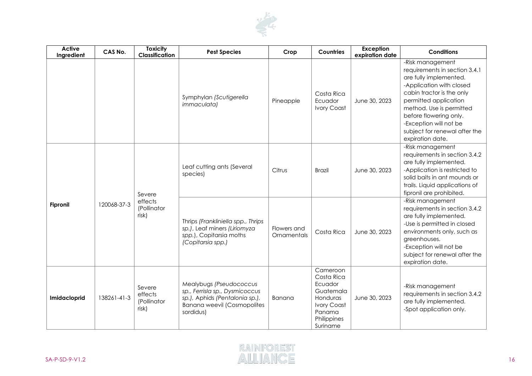

| <b>Active</b><br>Ingredient | CAS No.     | <b>Toxicity</b><br>Classification         | <b>Pest Species</b>                                                                                                                            | Crop                       | Countries                                                                                                             | <b>Exception</b><br>expiration date | <b>Conditions</b>                                                                                                                                                                                                                                                                                  |
|-----------------------------|-------------|-------------------------------------------|------------------------------------------------------------------------------------------------------------------------------------------------|----------------------------|-----------------------------------------------------------------------------------------------------------------------|-------------------------------------|----------------------------------------------------------------------------------------------------------------------------------------------------------------------------------------------------------------------------------------------------------------------------------------------------|
|                             |             |                                           | Symphylan (Scutigerella<br><i>immaculata)</i>                                                                                                  | Pineapple                  | Costa Rica<br>Ecuador<br><b>Ivory Coast</b>                                                                           | June 30, 2023                       | -Risk management<br>requirements in section 3.4.1<br>are fully implemented.<br>-Application with closed<br>cabin tractor is the only<br>permitted application<br>method. Use is permitted<br>before flowering only.<br>-Exception will not be<br>subject for renewal after the<br>expiration date. |
| <b>Fipronil</b>             |             | Severe<br>effects<br>(Pollinator<br>risk) | Leaf cutting ants (Several<br>species)                                                                                                         | Citrus                     | <b>Brazil</b>                                                                                                         | June 30, 2023                       | -Risk management<br>requirements in section 3.4.2<br>are fully implemented.<br>-Application is restricted to<br>solid baits in ant mounds or<br>trails. Liquid applications of<br>fipronil are prohibited.                                                                                         |
|                             | 120068-37-3 |                                           | Thrips (Frankliniella spp., Thrips<br>sp.), Leaf miners (Liriomyza<br>spp.), Copitarsia moths<br>(Copitarsia spp.)                             | Flowers and<br>Ornamentals | Costa Rica                                                                                                            | June 30, 2023                       | -Risk management<br>requirements in section 3.4.2<br>are fully implemented.<br>-Use is permitted in closed<br>environments only, such as<br>greenhouses.<br>-Exception will not be<br>subject for renewal after the<br>expiration date.                                                            |
| Imidacloprid                | 138261-41-3 | Severe<br>effects<br>(Pollinator<br>risk) | Mealybugs (Pseudococcus<br>sp., Ferrisla sp., Dysmicoccus<br>sp.), Aphids (Pentalonia sp.),<br><b>Banana weevil (Cosmopolites</b><br>sordidus) | Banana                     | Cameroon<br>Costa Rica<br>Ecuador<br>Guatemala<br>Honduras<br><b>Ivory Coast</b><br>Panama<br>Philippines<br>Suriname | June 30, 2023                       | -Risk management<br>requirements in section 3.4.2<br>are fully implemented.<br>-Spot application only.                                                                                                                                                                                             |

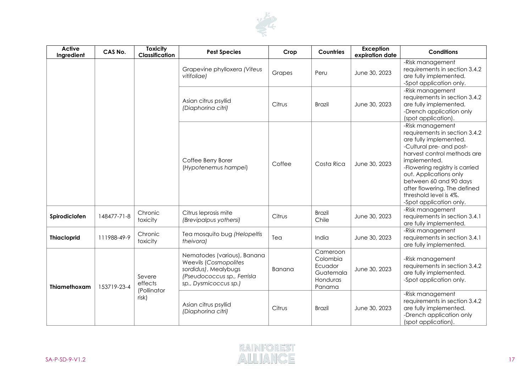

| <b>Active</b><br>Ingredient | CAS No.     | <b>Toxicity</b><br>Classification         | <b>Pest Species</b>                                                                                                                         | Crop   | <b>Countries</b>                                                   | <b>Exception</b><br>expiration date | <b>Conditions</b>                                                                                                                                                                                                                                                                                                                 |
|-----------------------------|-------------|-------------------------------------------|---------------------------------------------------------------------------------------------------------------------------------------------|--------|--------------------------------------------------------------------|-------------------------------------|-----------------------------------------------------------------------------------------------------------------------------------------------------------------------------------------------------------------------------------------------------------------------------------------------------------------------------------|
|                             |             |                                           | Grapevine phylloxera (Viteus<br>vitifoliae)                                                                                                 | Grapes | Peru                                                               | June 30, 2023                       | -Risk management<br>requirements in section 3.4.2<br>are fully implemented.<br>-Spot application only.                                                                                                                                                                                                                            |
|                             |             |                                           | Asian citrus psyllid<br>(Diaphorina citri)                                                                                                  | Citrus | <b>Brazil</b>                                                      | June 30, 2023                       | -Risk management<br>requirements in section 3.4.2<br>are fully implemented.<br>-Drench application only<br>(spot application).                                                                                                                                                                                                    |
|                             |             |                                           | Coffee Berry Borer<br>(Hypotenemus hampei)                                                                                                  | Coffee | Costa Rica                                                         | June 30, 2023                       | -Risk management<br>requirements in section 3.4.2<br>are fully implemented.<br>-Cultural pre- and post-<br>harvest control methods are<br>implemented.<br>-Flowering registry is carried<br>out. Applications only<br>between 60 and 90 days<br>after flowering. The defined<br>threshold level is 4%.<br>-Spot application only. |
| Spirodiclofen               | 148477-71-8 | Chronic<br>toxicity                       | Citrus leprosis mite<br>(Brevipalpus yothersi)                                                                                              | Citrus | <b>Brazil</b><br>Chile                                             | June 30, 2023                       | -Risk management<br>requirements in section 3.4.1<br>are fully implemented.                                                                                                                                                                                                                                                       |
| <b>Thiacloprid</b>          | 111988-49-9 | Chronic<br>toxicity                       | Tea mosquito bug (Helopeltis<br>theivora)                                                                                                   | Tea    | India                                                              | June 30, 2023                       | -Risk management<br>requirements in section 3.4.1<br>are fully implemented.                                                                                                                                                                                                                                                       |
| Thiamethoxam                | 153719-23-4 | Severe<br>effects<br>(Pollinator<br>risk) | Nematodes (various), Banana<br><b>Weevils (Cosmopolites</b><br>sordidus), Mealybugs<br>(Pseudococcus sp., Ferrisla<br>sp., Dysmicoccus sp.) | Banana | Cameroon<br>Colombia<br>Ecuador<br>Guatemala<br>Honduras<br>Panama | June 30, 2023                       | -Risk management<br>requirements in section 3.4.2<br>are fully implemented.<br>-Spot application only.                                                                                                                                                                                                                            |
|                             |             |                                           | Asian citrus psyllid<br>(Diaphorina citri)                                                                                                  | Citrus | <b>Brazil</b>                                                      | June 30, 2023                       | -Risk management<br>requirements in section 3.4.2<br>are fully implemented.<br>-Drench application only<br>(spot application).                                                                                                                                                                                                    |

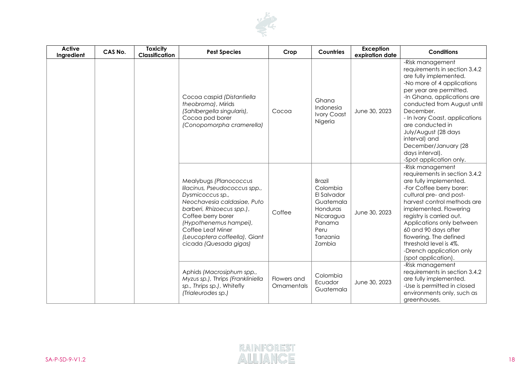

| <b>Active</b><br>Ingredient | CAS No. | <b>Toxicity</b><br>Classification | <b>Pest Species</b>                                                                                                                                                                                                                                                     | Crop                       | Countries                                                                                                              | <b>Exception</b><br>expiration date | <b>Conditions</b>                                                                                                                                                                                                                                                                                                                                                                    |
|-----------------------------|---------|-----------------------------------|-------------------------------------------------------------------------------------------------------------------------------------------------------------------------------------------------------------------------------------------------------------------------|----------------------------|------------------------------------------------------------------------------------------------------------------------|-------------------------------------|--------------------------------------------------------------------------------------------------------------------------------------------------------------------------------------------------------------------------------------------------------------------------------------------------------------------------------------------------------------------------------------|
|                             |         |                                   | Cocoa caspid (Distantiella<br>theobroma), Mirids<br>(Sahlbergella singularis),<br>Cocoa pod borer<br>(Conopomorpha cramerella)                                                                                                                                          | Cocoa                      | Ghana<br>Indonesia<br><b>Ivory Coast</b><br>Nigeria                                                                    | June 30, 2023                       | -Risk management<br>requirements in section 3.4.2<br>are fully implemented.<br>-No more of 4 applications<br>per year are permitted.<br>-In Ghana, applications are<br>conducted from August until<br>December.<br>- In Ivory Coast, applications<br>are conducted in<br>July/August (28 days<br>interval) and<br>December/January (28<br>days interval).<br>-Spot application only. |
|                             |         |                                   | Mealybugs (Planococcus<br>lilacinus, Pseudococcus spp.,<br>Dysmicoccus sp.,<br>Neochavesia caldasiae, Puto<br>barberi, Rhizoecus spp.),<br>Coffee berry borer<br>(Hypothenemus hampei),<br>Coffee Leaf Miner<br>(Leucoptera coffeella), Giant<br>cicada (Quesada gigas) | Coffee                     | <b>Brazil</b><br>Colombia<br>El Salvador<br>Guatemala<br>Honduras<br>Nicaragua<br>Panama<br>Peru<br>Tanzania<br>Zambia | June 30, 2023                       | -Risk management<br>requirements in section 3.4.2<br>are fully implemented.<br>-For Coffee berry borer:<br>cultural pre- and post-<br>harvest control methods are<br>implemented. Flowering<br>registry is carried out.<br>Applications only between<br>60 and 90 days after<br>flowering. The defined<br>threshold level is 4%.<br>-Drench application only<br>(spot application).  |
|                             |         |                                   | Aphids (Macrosiphum spp.,<br>Myzus sp.), Thrips (Frankliniella<br>sp., Thrips sp.), Whitefly<br>(Trialeurodes sp.)                                                                                                                                                      | Flowers and<br>Ornamentals | Colombia<br>Ecuador<br>Guatemala                                                                                       | June 30, 2023                       | -Risk management<br>requirements in section 3.4.2<br>are fully implemented.<br>-Use is permitted in closed<br>environments only, such as<br>greenhouses.                                                                                                                                                                                                                             |

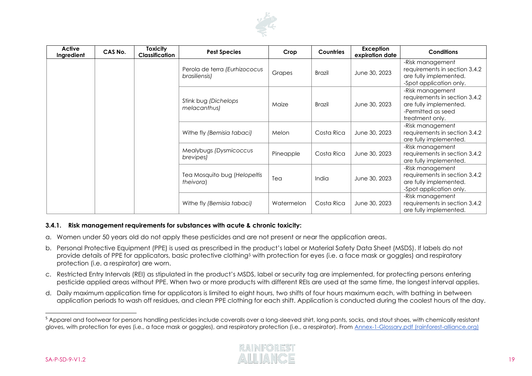

| Active<br>Ingredient | CAS No. | Toxicity<br><b>Classification</b> | <b>Pest Species</b>                            | Crop       | <b>Countries</b> | Exception<br>expiration date | <b>Conditions</b>                                                                                                    |
|----------------------|---------|-----------------------------------|------------------------------------------------|------------|------------------|------------------------------|----------------------------------------------------------------------------------------------------------------------|
|                      |         |                                   | Perola de terra (Eurhizococus<br>brasiliensis) | Grapes     | Brazil           | June 30, 2023                | -Risk management<br>requirements in section 3.4.2<br>are fully implemented.<br>-Spot application only.               |
|                      |         |                                   | Stink bug (Dichelops<br>melacanthus)           | Maize      | Brazil           | June 30, 2023                | -Risk management<br>requirements in section 3.4.2<br>are fully implemented.<br>-Permitted as seed<br>treatment only. |
|                      |         |                                   | Withe fly (Bemisia tabaci)                     | Melon      | Costa Rica       | June 30, 2023                | -Risk management<br>requirements in section 3.4.2<br>are fully implemented.                                          |
|                      |         |                                   | Mealybugs (Dysmicoccus<br>brevipes)            | Pineapple  | Costa Rica       | June 30, 2023                | -Risk management<br>requirements in section 3.4.2<br>are fully implemented.                                          |
|                      |         |                                   | Tea Mosquito bug (Helopeltis<br>theivora)      | Tea        | <b>India</b>     | June 30, 2023                | -Risk management<br>requirements in section 3.4.2<br>are fully implemented.<br>-Spot application only.               |
|                      |         |                                   | Withe fly (Bemisia tabaci)                     | Watermelon | Costa Rica       | June 30, 2023                | -Risk management<br>requirements in section 3.4.2<br>are fully implemented.                                          |

#### **3.4.1. Risk management requirements for substances with acute & chronic toxicity:**

- a. Women under 50 years old do not apply these pesticides and are not present or near the application areas.
- b. Personal Protective Equipment (PPE) is used as prescribed in the product's label or Material Safety Data Sheet (MSDS). If labels do not provide details of PPE for applicators, basic protective clothing<sup>5</sup> with protection for eyes (i.e. a face mask or goggles) and respiratory protection (i.e. a respirator) are worn.
- c. Restricted Entry Intervals (REI) as stipulated in the product's MSDS, label or security tag are implemented, for protecting persons entering pesticide applied areas without PPE. When two or more products with different REIs are used at the same time, the longest interval applies.
- d. Daily maximum application time for applicators is limited to eight hours, two shifts of four hours maximum each, with bathing in between application periods to wash off residues, and clean PPE clothing for each shift. Application is conducted during the coolest hours of the day.

<sup>&</sup>lt;sup>5</sup> Apparel and footwear for persons handling pesticides include coveralls over a long-sleeved shirt, long pants, socks, and stout shoes, with chemically resistant gloves, with protection for eyes (i.e., a face mask or goggles), and respiratory protection (i.e., a respirator). From [Annex-1-Glossary.pdf \(rainforest-alliance.org\)](https://www.rainforest-alliance.org/business/wp-content/uploads/2020/06/Annex-1-Glossary.pdf)

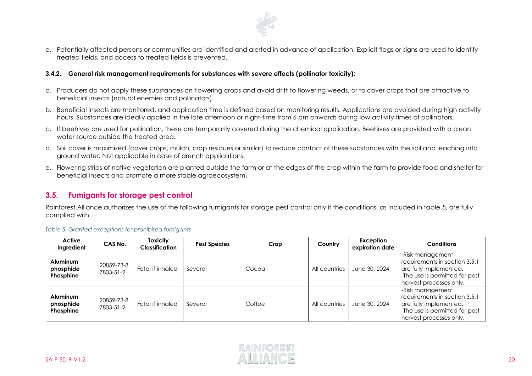

e. Potentially affected persons or communities are identified and alerted in advance of application. Explicit flags or signs are used to identify treated fields, and access to treated fields is prevented.

#### **3.4.2. General risk management requirements for substances with severe effects (pollinator toxicity):**

- a. Producers do not apply these substances on flowering crops and avoid drift to flowering weeds, or to cover crops that are attractive to beneficial insects (natural enemies and pollinators).
- b. Beneficial insects are monitored, and application time is defined based on monitoring results. Applications are avoided during high activity hours. Substances are ideally applied in the late afternoon or night-time from 6 pm onwards during low activity times of pollinators.
- c. If beehives are used for pollination, these are temporarily covered during the chemical application. Beehives are provided with a clean water source outside the treated area.
- d. Soil cover is maximized (cover crops, mulch, crop residues or similar) to reduce contact of these substances with the soil and leaching into ground water. Not applicable in case of drench applications.
- e. Flowering strips of native vegetation are planted outside the farm or at the edges of the crop within the farm to provide food and shelter for beneficial insects and promote a more stable agroecosystem.

# **3.5. Fumigants for storage pest control**

Rainforest Alliance authorizes the use of the following fumigants for storage pest control only if the conditions, as included in table 5, are fully complied with.

#### *Table 5. Granted exceptions for prohibited fumigants*

| Active<br>Ingredient                      | CAS No.                 | Toxicity<br><b>Classification</b> | <b>Pest Species</b> | Crop   | Country       | Exception<br>expiration date | <b>Conditions</b>                                                                                                                         |
|-------------------------------------------|-------------------------|-----------------------------------|---------------------|--------|---------------|------------------------------|-------------------------------------------------------------------------------------------------------------------------------------------|
| <b>Aluminum</b><br>phosphide<br>Phosphine | 20859-73-8<br>7803-51-2 | Fatal if inhaled                  | Several             | Cocoa  | All countries | June 30, 2024                | -Risk management<br>requirements in section 3.5.1<br>are fully implemented.<br>-The use is permitted for post-<br>harvest processes only. |
| <b>Aluminum</b><br>phosphide<br>Phosphine | 20859-73-8<br>7803-51-2 | Fatal if inhaled                  | Several             | Coffee | All countries | June 30, 2024                | -Risk management<br>requirements in section 3.5.1<br>are fully implemented.<br>-The use is permitted for post-<br>harvest processes only. |

<span id="page-19-0"></span>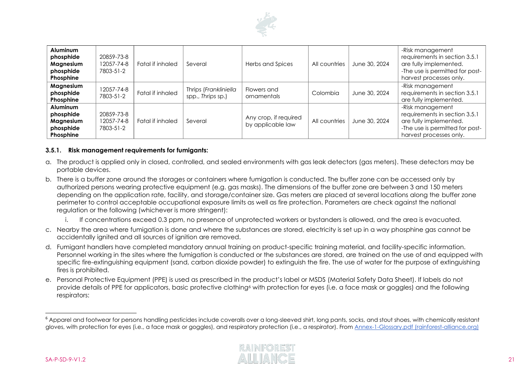

| Aluminum<br>phosphide<br>Magnesium<br>phosphide<br>Phosphine | 20859-73-8<br>12057-74-8<br>7803-51-2 | Fatal if inhaled | Several                                    | Herbs and Spices                           | All countries | June 30, 2024 | -Risk management<br>requirements in section 3.5.1<br>are fully implemented.<br>-The use is permitted for post-<br>harvest processes only. |
|--------------------------------------------------------------|---------------------------------------|------------------|--------------------------------------------|--------------------------------------------|---------------|---------------|-------------------------------------------------------------------------------------------------------------------------------------------|
| Magnesium<br>phosphide<br>Phosphine                          | 12057-74-8<br>7803-51-2               | Fatal if inhaled | Thrips (Frankliniella<br>spp., Thrips sp.) | Flowers and<br>ornamentals                 | Colombia      | June 30, 2024 | -Risk management<br>requirements in section 3.5.1<br>are fully implemented.                                                               |
| Aluminum<br>phosphide<br>Magnesium<br>phosphide<br>Phosphine | 20859-73-8<br>12057-74-8<br>7803-51-2 | Fatal if inhaled | Several                                    | Any crop, if required<br>by applicable law | All countries | June 30, 2024 | -Risk management<br>requirements in section 3.5.1<br>are fully implemented.<br>-The use is permitted for post-<br>harvest processes only. |

#### **3.5.1. Risk management requirements for fumigants:**

- a. The product is applied only in closed, controlled, and sealed environments with gas leak detectors (gas meters). These detectors may be portable devices.
- b. There is a buffer zone around the storages or containers where fumigation is conducted. The buffer zone can be accessed only by authorized persons wearing protective equipment (e.g. gas masks). The dimensions of the buffer zone are between 3 and 150 meters depending on the application rate, facility, and storage/container size. Gas meters are placed at several locations along the buffer zone perimeter to control acceptable occupational exposure limits as well as fire protection. Parameters are check against the national regulation or the following (whichever is more stringent):
	- i. If concentrations exceed 0.3 ppm, no presence of unprotected workers or bystanders is allowed, and the area is evacuated.
- c. Nearby the area where fumigation is done and where the substances are stored, electricity is set up in a way phosphine gas cannot be accidentally ignited and all sources of ignition are removed.
- d. Fumigant handlers have completed mandatory annual training on product-specific training material, and facility-specific information. Personnel working in the sites where the fumigation is conducted or the substances are stored, are trained on the use of and equipped with specific fire-extinguishing equipment (sand, carbon dioxide powder) to extinguish the fire. The use of water for the purpose of extinguishing fires is prohibited.
- e. Personal Protective Equipment (PPE) is used as prescribed in the product's label or MSDS (Material Safety Data Sheet). If labels do not provide details of PPE for applicators, basic protective clothing<sup>6</sup> with protection for eyes (i.e. a face mask or goggles) and the following respirators:

<sup>&</sup>lt;sup>6</sup> Apparel and footwear for persons handling pesticides include coveralls over a long-sleeved shirt, long pants, socks, and stout shoes, with chemically resistant gloves, with protection for eyes (i.e., a face mask or goggles), and respiratory protection (i.e., a respirator). From [Annex-1-Glossary.pdf \(rainforest-alliance.org\)](https://www.rainforest-alliance.org/business/wp-content/uploads/2020/06/Annex-1-Glossary.pdf)

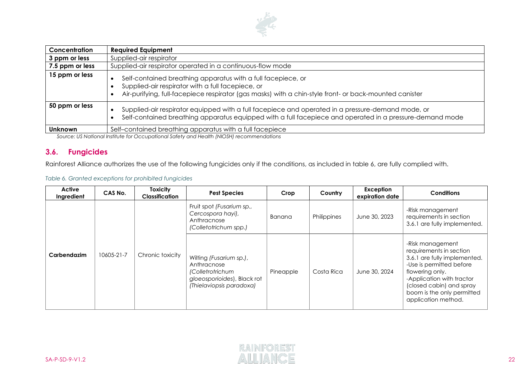

| Concentration   | <b>Required Equipment</b>                                                                                                                                                                                                                |
|-----------------|------------------------------------------------------------------------------------------------------------------------------------------------------------------------------------------------------------------------------------------|
| 3 ppm or less   | Supplied-air respirator                                                                                                                                                                                                                  |
| 7.5 ppm or less | Supplied-air respirator operated in a continuous-flow mode                                                                                                                                                                               |
| 15 ppm or less  | Self-contained breathing apparatus with a full facepiece, or<br>$\bullet$<br>Supplied-air respirator with a full facepiece, or<br>Air-purifying, full-facepiece respirator (gas masks) with a chin-style front- or back-mounted canister |
| 50 ppm or less  | Supplied-air respirator equipped with a full facepiece and operated in a pressure-demand mode, or<br>$\bullet$<br>Self-contained breathing apparatus equipped with a full facepiece and operated in a pressure-demand mode<br>$\bullet$  |
| <b>Unknown</b>  | Self-contained breathing apparatus with a full facepiece<br>Course UC National la ditute for Occupational Catch can all to alth (NIOCU) representations                                                                                  |

*Source: US National Institute for Occupational Safety and Health (NIOSH) recommendations*

## **3.6. Fungicides**

Rainforest Alliance authorizes the use of the following fungicides only if the conditions, as included in table 6, are fully complied with.

#### *Table 6. Granted exceptions for prohibited fungicides*

| Active<br>Ingredient | CAS No.    | <b>Toxicity</b><br><b>Classification</b> | <b>Pest Species</b>                                                                                                   | Crop      | Country     | Exception<br>expiration date | <b>Conditions</b>                                                                                                                                                                                                                        |
|----------------------|------------|------------------------------------------|-----------------------------------------------------------------------------------------------------------------------|-----------|-------------|------------------------------|------------------------------------------------------------------------------------------------------------------------------------------------------------------------------------------------------------------------------------------|
|                      |            |                                          | Fruit spot (Fusarium sp.,<br>Cercospora hayi),<br>Anthracnose<br>(Colletotrichum spp.)                                | Banana    | Philippines | June 30, 2023                | -Risk management<br>requirements in section<br>3.6.1 are fully implemented.                                                                                                                                                              |
| Carbendazim          | 10605-21-7 | Chronic toxicity                         | Wilting (Fusarium sp.),<br>Anthracnose<br>(Colletrotrichum<br>gloeosporioides), Black rot<br>(Thielaviopsis paradoxa) | Pineapple | Costa Rica  | June 30, 2024                | -Risk management<br>requirements in section<br>3.6.1 are fully implemented.<br>-Use is permitted before<br>flowering only.<br>-Application with tractor<br>(closed cabin) and spray<br>boom is the only permitted<br>application method. |

<span id="page-21-0"></span>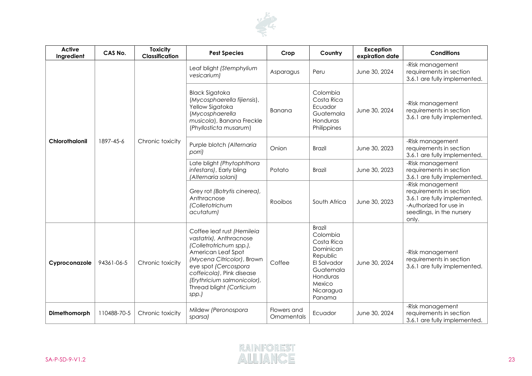

| <b>Active</b><br>Ingredient | CAS No.     | <b>Toxicity</b><br>Classification | <b>Pest Species</b>                                                                                                                                                                                                                                           | Crop                       | Country                                                                                                                                   | Exception<br>expiration date | <b>Conditions</b>                                                                                                                           |
|-----------------------------|-------------|-----------------------------------|---------------------------------------------------------------------------------------------------------------------------------------------------------------------------------------------------------------------------------------------------------------|----------------------------|-------------------------------------------------------------------------------------------------------------------------------------------|------------------------------|---------------------------------------------------------------------------------------------------------------------------------------------|
|                             |             |                                   | Leaf blight (Stemphylium<br>vesicarium)                                                                                                                                                                                                                       | Asparagus                  | Peru                                                                                                                                      | June 30, 2024                | -Risk management<br>requirements in section<br>3.6.1 are fully implemented.                                                                 |
| <b>Chlorothalonil</b>       |             |                                   | <b>Black Sigatoka</b><br>(Mycosphaerella fijiensis),<br>Yellow Sigatoka<br>(Mycosphaerella<br>musicola), Banana Freckle<br>(Phyllosticta musarum)                                                                                                             | Banana                     | Colombia<br>Costa Rica<br>Ecuador<br>Guatemala<br>Honduras<br>Philippines                                                                 | June 30, 2024                | -Risk management<br>requirements in section<br>3.6.1 are fully implemented.                                                                 |
|                             | 1897-45-6   | Chronic toxicity                  | Purple blotch (Alternaria<br>porri)                                                                                                                                                                                                                           | Onion                      | <b>Brazil</b>                                                                                                                             | June 30, 2023                | -Risk management<br>requirements in section<br>3.6.1 are fully implemented.                                                                 |
|                             |             |                                   | Late blight (Phytophthora<br>infestans), Early bling<br>(Alternaria solani)                                                                                                                                                                                   | Potato                     | <b>Brazil</b>                                                                                                                             | June 30, 2023                | -Risk management<br>requirements in section<br>3.6.1 are fully implemented.                                                                 |
|                             |             |                                   | Grey rot (Botrytis cinerea),<br>Anthracnose<br>(Colletotrichum<br>acutatum)                                                                                                                                                                                   | Rooibos                    | South Africa                                                                                                                              | June 30, 2023                | -Risk management<br>requirements in section<br>3.6.1 are fully implemented.<br>-Authorized for use in<br>seedlings, in the nursery<br>only. |
| Cyproconazole               | 94361-06-5  | Chronic toxicity                  | Coffee leaf rust (Hemileia<br>vastatrix), Anthracnose<br>(Colletrotrichum spp.),<br>American Leaf Spot<br>(Mycena Citricolor), Brown<br>eye spot (Cercospora<br>coffeicola), Pink disease<br>(Erythricium salmonicolor),<br>Thread blight (Corticium<br>spp.) | Coffee                     | <b>Brazil</b><br>Colombia<br>Costa Rica<br>Dominican<br>Republic<br>El Salvador<br>Guatemala<br>Honduras<br>Mexico<br>Nicaragua<br>Panama | June 30, 2024                | -Risk management<br>requirements in section<br>3.6.1 are fully implemented.                                                                 |
| Dimethomorph                | 110488-70-5 | Chronic toxicity                  | Mildew (Peronospora<br>sparsa)                                                                                                                                                                                                                                | Flowers and<br>Ornamentals | Ecuador                                                                                                                                   | June 30, 2024                | -Risk management<br>requirements in section<br>3.6.1 are fully implemented.                                                                 |

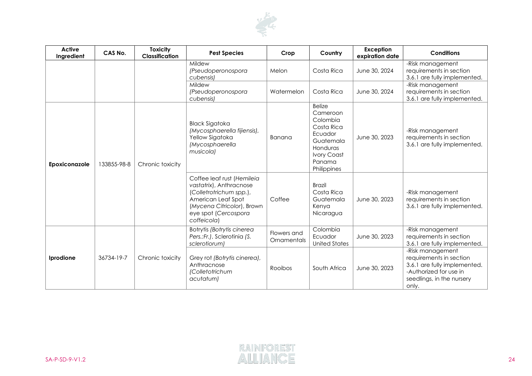

| <b>Active</b><br>Ingredient | CAS No.     | <b>Toxicity</b><br><b>Classification</b> | <b>Pest Species</b>                                                                                                                                                         | Crop                       | Country                                                                                                                                | Exception<br>expiration date | <b>Conditions</b>                                                                                                                           |
|-----------------------------|-------------|------------------------------------------|-----------------------------------------------------------------------------------------------------------------------------------------------------------------------------|----------------------------|----------------------------------------------------------------------------------------------------------------------------------------|------------------------------|---------------------------------------------------------------------------------------------------------------------------------------------|
|                             |             |                                          | Mildew<br>(Pseudoperonospora<br>cubensis)                                                                                                                                   | Melon                      | Costa Rica                                                                                                                             | June 30, 2024                | -Risk management<br>requirements in section<br>3.6.1 are fully implemented.                                                                 |
|                             |             |                                          | Mildew<br>(Pseudoperonospora<br>cubensis)                                                                                                                                   | Watermelon                 | Costa Rica                                                                                                                             | June 30, 2024                | -Risk management<br>requirements in section<br>3.6.1 are fully implemented.                                                                 |
| Epoxiconazole               | 133855-98-8 | Chronic toxicity                         | <b>Black Sigatoka</b><br>(Mycosphaerella fijiensis),<br>Yellow Sigatoka<br>(Mycosphaerella<br>musicola)                                                                     | Banana                     | <b>Belize</b><br>Cameroon<br>Colombia<br>Costa Rica<br>Ecuador<br>Guatemala<br>Honduras<br><b>Ivory Coast</b><br>Panama<br>Philippines | June 30, 2023                | -Risk management<br>requirements in section<br>3.6.1 are fully implemented.                                                                 |
|                             |             |                                          | Coffee leaf rust (Hemileia<br>vastatrix), Anthracnose<br>(Colletrotrichum spp.),<br>American Leaf Spot<br>(Mycena Citricolor), Brown<br>eye spot (Cercospora<br>coffeicola) | Coffee                     | <b>Brazil</b><br>Costa Rica<br>Guatemala<br>Kenya<br>Nicaragua                                                                         | June 30, 2023                | -Risk management<br>requirements in section<br>3.6.1 are fully implemented.                                                                 |
| Iprodione                   | 36734-19-7  | Chronic toxicity                         | Botrytis (Botrytis cinerea<br>Pers.: Fr.), Sclerotinia (S.<br>sclerotiorum)                                                                                                 | Flowers and<br>Ornamentals | Colombia<br>Ecuador<br><b>United States</b>                                                                                            | June 30, 2023                | -Risk management<br>requirements in section<br>3.6.1 are fully implemented.                                                                 |
|                             |             |                                          | Grey rot (Botrytis cinerea),<br>Anthracnose<br>(Colletotrichum<br>acutatum)                                                                                                 | Rooibos                    | South Africa                                                                                                                           | June 30, 2023                | -Risk management<br>requirements in section<br>3.6.1 are fully implemented.<br>-Authorized for use in<br>seedlings, in the nursery<br>only. |

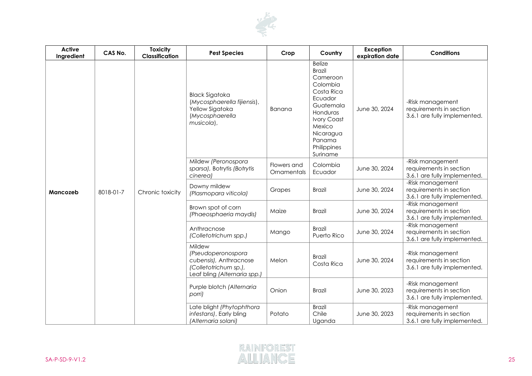

| <b>Active</b><br>Ingredient | CAS No.   | <b>Toxicity</b><br>Classification | <b>Pest Species</b>                                                                                             | Crop                       | Country                                                                                                                                                                                    | Exception<br>expiration date | <b>Conditions</b>                                                           |
|-----------------------------|-----------|-----------------------------------|-----------------------------------------------------------------------------------------------------------------|----------------------------|--------------------------------------------------------------------------------------------------------------------------------------------------------------------------------------------|------------------------------|-----------------------------------------------------------------------------|
|                             | 8018-01-7 | Chronic toxicity                  | <b>Black Sigatoka</b><br>(Mycosphaerella fijiensis),<br>Yellow Sigatoka<br>(Mycosphaerella<br>musicola),        | Banana                     | <b>Belize</b><br><b>Brazil</b><br>Cameroon<br>Colombia<br>Costa Rica<br>Ecuador<br>Guatemala<br>Honduras<br><b>Ivory Coast</b><br>Mexico<br>Nicaragua<br>Panama<br>Philippines<br>Suriname | June 30, 2024                | -Risk management<br>requirements in section<br>3.6.1 are fully implemented. |
|                             |           |                                   | Mildew (Peronospora<br>sparsa), Botrytis (Botrytis<br>cinerea)                                                  | Flowers and<br>Ornamentals | Colombia<br>Ecuador                                                                                                                                                                        | June 30, 2024                | -Risk management<br>requirements in section<br>3.6.1 are fully implemented. |
| Mancozeb                    |           |                                   | Downy mildew<br>(Plasmopara viticola)                                                                           | Grapes                     | <b>Brazil</b>                                                                                                                                                                              | June 30, 2024                | -Risk management<br>requirements in section<br>3.6.1 are fully implemented. |
|                             |           |                                   | Brown spot of corn<br>(Phaeosphaeria maydis)                                                                    | Maize                      | <b>Brazil</b>                                                                                                                                                                              | June 30, 2024                | -Risk management<br>requirements in section<br>3.6.1 are fully implemented. |
|                             |           |                                   | Anthracnose<br>(Colletotrichum spp.)                                                                            | Mango                      | <b>Brazil</b><br>Puerto Rico                                                                                                                                                               | June 30, 2024                | -Risk management<br>requirements in section<br>3.6.1 are fully implemented. |
|                             |           |                                   | Mildew<br>(Pseudoperonospora<br>cubensis), Anthracnose<br>(Colletotrichum sp.),<br>Leaf bling (Alternaria spp.) | Melon                      | <b>Brazil</b><br>Costa Rica                                                                                                                                                                | June 30, 2024                | -Risk management<br>requirements in section<br>3.6.1 are fully implemented. |
|                             |           |                                   | Purple blotch (Alternaria<br>porri)                                                                             | Onion                      | <b>Brazil</b>                                                                                                                                                                              | June 30, 2023                | -Risk management<br>requirements in section<br>3.6.1 are fully implemented. |
|                             |           |                                   | Late blight (Phytophthora<br>infestans), Early bling<br>(Alternaria solani)                                     | Potato                     | <b>Brazil</b><br>Chile<br>Uganda                                                                                                                                                           | June 30, 2023                | -Risk management<br>requirements in section<br>3.6.1 are fully implemented. |

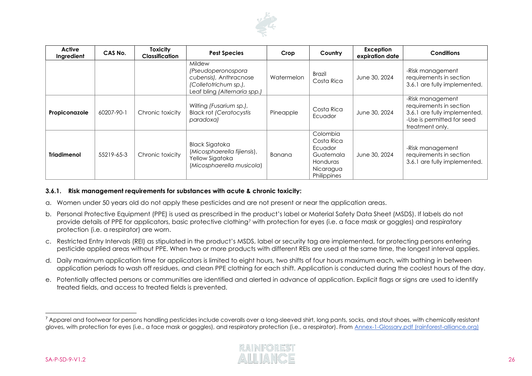

| Active<br>Ingredient | CAS No.    | <b>Toxicity</b><br><b>Classification</b> | <b>Pest Species</b>                                                                                             | Crop       | Country                                                                                | Exception<br>expiration date | <b>Conditions</b>                                                                                                            |
|----------------------|------------|------------------------------------------|-----------------------------------------------------------------------------------------------------------------|------------|----------------------------------------------------------------------------------------|------------------------------|------------------------------------------------------------------------------------------------------------------------------|
|                      |            |                                          | Mildew<br>(Pseudoperonospora<br>cubensis), Anthracnose<br>(Colletotrichum sp.),<br>Leaf bling (Alternaria spp.) | Watermelon | <b>Brazil</b><br>Costa Rica                                                            | June 30, 2024                | -Risk management<br>requirements in section<br>3.6.1 are fully implemented.                                                  |
| Propiconazole        | 60207-90-1 | Chronic toxicity                         | Wilting (Fusarium sp.),<br><b>Black rot (Ceratocystis</b><br>paradoxa)                                          | Pineapple  | Costa Rica<br>Ecuador                                                                  | June 30, 2024                | -Risk management<br>requirements in section<br>3.6.1 are fully implemented.<br>-Use is permitted for seed<br>treatment only. |
| <b>Triadimenol</b>   | 55219-65-3 | Chronic toxicity                         | <b>Black Sigatoka</b><br>(Micosphaerella fijiensis),<br>Yellow Sigatoka<br>(Micosphaerella musicola)            | Banana     | Colombia<br>Costa Rica<br>Ecuador<br>Guatemala<br>Honduras<br>Nicaragua<br>Philippines | June 30, 2024                | -Risk management<br>requirements in section<br>3.6.1 are fully implemented.                                                  |

#### **3.6.1. Risk management requirements for substances with acute & chronic toxicity:**

- a. Women under 50 years old do not apply these pesticides and are not present or near the application areas.
- b. Personal Protective Equipment (PPE) is used as prescribed in the product's label or Material Safety Data Sheet (MSDS). If labels do not provide details of PPE for applicators, basic protective clothing<sup>7</sup> with protection for eyes (i.e. a face mask or goggles) and respiratory protection (i.e. a respirator) are worn.
- c. Restricted Entry Intervals (REI) as stipulated in the product's MSDS, label or security tag are implemented, for protecting persons entering pesticide applied areas without PPE. When two or more products with different REIs are used at the same time, the longest interval applies.
- d. Daily maximum application time for applicators is limited to eight hours, two shifts of four hours maximum each, with bathing in between application periods to wash off residues, and clean PPE clothing for each shift. Application is conducted during the coolest hours of the day.
- e. Potentially affected persons or communities are identified and alerted in advance of application. Explicit flags or signs are used to identify treated fields, and access to treated fields is prevented.

<sup>&</sup>lt;sup>7</sup> Apparel and footwear for persons handling pesticides include coveralls over a long-sleeved shirt, long pants, socks, and stout shoes, with chemically resistant gloves, with protection for eyes (i.e., a face mask or goggles), and respiratory protection (i.e., a respirator). From [Annex-1-Glossary.pdf \(rainforest-alliance.org\)](https://www.rainforest-alliance.org/business/wp-content/uploads/2020/06/Annex-1-Glossary.pdf)